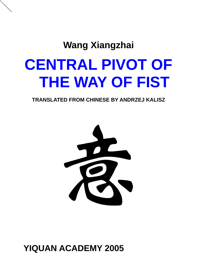**Wang Xiangzhai**

# **CENTRAL PIVOT OF THE WAY OF FIST**

**TRANSLATED FROM CHINESE BY ANDRZEJ KALISZ**



## **YIQUAN ACADEMY 2005**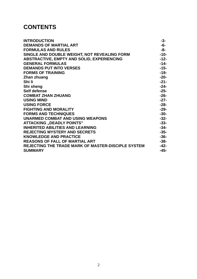### **CONTENTS**

| <b>INTRODUCTION</b>                                       | $-3-$  |
|-----------------------------------------------------------|--------|
| <b>DEMANDS OF MARTIAL ART</b>                             | -6-    |
| <b>FORMULAS AND RULES</b>                                 | -8-    |
| SINGLE AND DOUBLE WEIGHT, NOT REVEALING FORM              | $-10-$ |
| <b>ABSTRACTIVE, EMPTY AND SOLID, EXPERIENCING</b>         | $-12-$ |
| <b>GENERAL FORMULAS</b>                                   | $-14-$ |
| <b>DEMANDS PUT INTO VERSES</b>                            | $-15-$ |
| <b>FORMS OF TRAINING</b>                                  | $-19-$ |
| Zhan zhuang                                               | $-20-$ |
| Shi li                                                    | $-21-$ |
| Shi sheng                                                 | $-24-$ |
| Self defense                                              | $-25-$ |
| <b>COMBAT ZHAN ZHUANG</b>                                 | $-26-$ |
| <b>USING MIND</b>                                         | $-27-$ |
| <b>USING FORCE</b>                                        | $-28-$ |
| <b>FIGHTING AND MORALITY</b>                              | $-29-$ |
| <b>FORMS AND TECHNIQUES</b>                               | $-30-$ |
| <b>UNARMED COMBAT AND USING WEAPONS</b>                   | $-32-$ |
| <b>ATTACKING "DEADLY POINTS"</b>                          | $-33-$ |
| <b>INHERITED ABILITIES AND LEARNING</b>                   | -34-   |
| <b>REJECTING MYSTERY AND SECRETS</b>                      | $-35-$ |
| <b>KNOWLEDGE AND PRACTICE</b>                             | $-36-$ |
| <b>REASONS OF FALL OF MARTIAL ART</b>                     | $-38-$ |
| <b>REJECTING THE TRADE MARK OF MASTER-DISCIPLE SYSTEM</b> | $-42-$ |
| <b>SUMMARY</b>                                            | $-45-$ |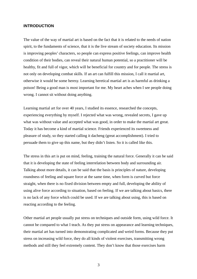#### **INTRODUCTION**

The value of the way of martial art is based on the fact that it is related to the needs of nation spirit, to the fundaments of science, that it is the live stream of society education. Its mission is improving peoples' characters, so people can express positive feelings, can improve health condition of their bodies, can reveal their natural human potential, so a practitioner will be healthy, fit and full of vigor, which will be beneficial for country and for people. The stress is not only on developing combat skills. If an art can fulfill this mission, I call it martial art, otherwise it would be some heresy. Learning heretical martial art is as harmful as drinking a poison! Being a good man is most important for me. My heart aches when I see people doing wrong. I cannot sit without doing anything.

Learning martial art for over 40 years, I studied its essence, researched the concepts, experiencing everything by myself. I rejected what was wrong, revealed secrets, I gave up what was without value and accepted what was good, in order to make the martial art great. Today it has become a kind of martial science. Friends experienced its sweetness and pleasure of study, so they started calling it dacheng (great accomplishment). I tried to persuade them to give up this name, but they didn't listen. So it is called like this.

The stress in this art is put on mind, feeling, training the natural force. Generally it can be said that it is developing the state of feeling interrelation between body and surrounding air. Talking about more details, it can be said that the basis is principles of nature, developing roundness of feeling and square force at the same time, when form is curved but force straight, when there is no fixed division between empty and full, developing the ability of using alive force according to situation, based on feeling. If we are talking about basics, there is no lack of any force which could be used. If we are talking about using, this is based on reacting according to the feeling.

Other martial art people usually put stress on techniques and outside form, using wild force. It cannot be compared to what I teach. As they put stress on appearance and learning techniques, their martial art has turned into demonstrating complicated and weird forms. Because they put stress on increasing wild force, they do all kinds of violent exercises, transmitting wrong methods and still they feel extremely content. They don't know that those exercises harm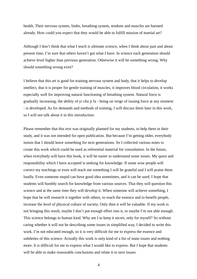health. Their nervous system, limbs, breathing system, tendons and muscles are harmed already. How could you expect that they would be able to fulfill mission of martial art?

Although I don't think that what I teach is ultimate science, when I think about past and about present time, I'm sure that others haven't got what I have. In science each generation should achieve level higher than previous generation. Otherwise it will be something wrong. Why should something wrong exist?

I believe that this art is good for training nervous system and body, that it helps to develop intellect, that it is proper for gentle training of muscles, it improves blood circulation, it works especially well for improving natural functioning of breathing system. Natural force is gradually increasing, the ability of yi chu ji fa - being on verge of issuing force at any moment - is developed. As for demands and methods of training, I will discuss them later in this work, so I will not talk about it in this introduction.

Please remember that this text was originally planned for my students, to help them in their study, and it was not intended for open publication. But because I'm getting older, everybody insists that I should leave something for next generations. So I collected various notes to create this work which could be used as referential material for consultation. In the future, when everybody will have this book, it will be easier to understand some issues. My quest and responsibility which I have accepted is seeking for knowledge. If some wise people will correct my teachings or even will teach me something I will be grateful and I will praise them loudly. Even someone stupid can have good idea sometimes, and it can be used. I hope that students will humbly search for knowledge from various sources. That they will question this science and at the same time they will develop it. When someone will achieve something, I hope that he will research it together with others, to reach the essence and to benefit people, increase the level of physical culture of society. Only then it will be valuable. If my work is not bringing this result, maybe I don't put enough effort into it, or maybe I'm not able enough. This science belongs to human kind. Why am I to keep it secret, only for myself? So without caring whether it will not be describing some issues in simplified way, I decided to write this work. I'm not educated enough, so it is very difficult for me to express the essence and subtleties of this science. Actually this work is only kind of a list of main issues and nothing more. It is difficult for me to express what I would like to express. But I hope that students will be able to make reasonable conclusions and relate it to next issues.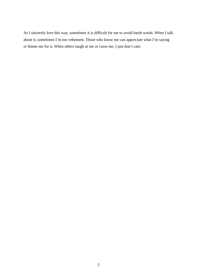As I sincerely love this way, sometimes it is difficult for me to avoid harsh words. When I talk about it, sometimes I'm too vehement. Those who know me can appreciate what I'm saying or blame me for it. When others laugh at me or curse me, I just don't care.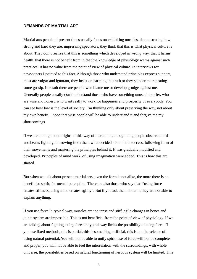#### **DEMANDS OF MARTIAL ART**

Martial arts people of present times usually focus on exhibiting muscles, demonstrating how strong and hard they are, impressing spectators, they think that this is what physical culture is about. They don't realize that this is something which developed in wrong way, that it harms health, that there is not benefit from it, that the knowledge of physiology warns against such practices. It has no value from the point of view of physical culture. In interviews for newspapers I pointed to this fact. Although those who understand principles express support, most are vulgar and ignorant, they insist on harming the truth or they slander me repeating some gossip. In result there are people who blame me or develop grudge against me. Generally people usually don't understand those who have something unusual to offer, who are wise and honest, who want really to work for happiness and prosperity of everybody. You can see how low is the level of society. I'm thinking only about preserving the way, not about my own benefit. I hope that wise people will be able to understand it and forgive me my shortcomings.

If we are talking about origins of this way of martial art, at beginning people observed birds and beasts fighting, borrowing from them what decided about their success, following form of their movements and mastering the principles behind it. It was gradually modified and developed. Principles of mind work, of using imagination were added. This is how this art started.

But when we talk about present martial arts, even the form is not alike, the more there is no benefit for spirit, for mental perception. There are also those who say that "using force creates stiffness, using mind creates agility". But if you ask them about it, they are not able to explain anything.

If you use force in typical way, muscles are too tense and stiff, agile changes in bones and joints system are impossible. This is not beneficial from the point of view of physiology. If we are talking about fighting, using force in typical way limits the possibility of using force. If you use fixed methods, this is partial, this is something artificial, this is not the science of using natural potential. You will not be able to unify spirit, use of force will not be complete and proper, you will not be able to feel the interrelation with the surroundings, with whole universe, the possibilities based on natural functioning of nervous system will be limited. This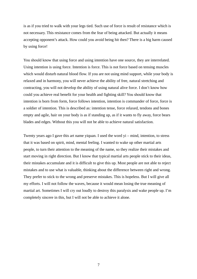is as if you tried to walk with your legs tied. Such use of force is result of resistance which is not necessary. This resistance comes from the fear of being attacked. But actually it means accepting opponent's attack. How could you avoid being hit then? There is a big harm caused by using force!

You should know that using force and using intention have one source, they are interrelated. Using intention is using force. Intention is force. This is not force based on tensing muscles which would disturb natural blood flow. If you are not using mind support, while your body is relaxed and in harmony, you will never achieve the ability of free, natural stretching and contracting, you will not develop the ability of using natural alive force. I don't know how could you achieve real benefit for your health and fighting skill? You should know that intention is born from form, force follows intention, intention is commander of force, force is a soldier of intention. This is described as: intention tense, force relaxed, tendons and bones empty and agile, hair on your body is as if standing up, as if it wants to fly away, force bears blades and edges. Without this you will not be able to achieve natural satisfaction.

Twenty years ago I gave this art name yiquan. I used the word yi – mind, intention, to stress that it was based on spirit, mind, mental feeling. I wanted to wake up other martial arts people, to turn their attention to the meaning of the name, so they realize their mistakes and start moving in right direction. But I know that typical martial arts people stick to their ideas, their mistakes accumulate and it is difficult to give this up. Most people are not able to reject mistakes and to use what is valuable, thinking about the difference between right and wrong. They prefer to stick to the wrong and preserve mistakes. This is hopeless. But I will give all my efforts. I will not follow the waves, because it would mean losing the true meaning of martial art. Sometimes I will cry out loudly to destroy this paralysis and wake people up. I'm completely sincere in this, but I will not be able to achieve it alone.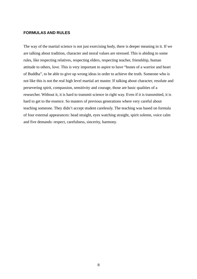#### **FORMULAS AND RULES**

The way of the martial science is not just exercising body, there is deeper meaning in it. If we are talking about tradition, character and moral values are stressed. This is abiding to some rules, like respecting relatives, respecting elders, respecting teacher, friendship, human attitude to others, love. This is very important to aspire to have "bones of a warrior and heart of Buddha", to be able to give up wrong ideas in order to achieve the truth. Someone who is not like this is not the real high level martial art master. If talking about character, resolute and persevering spirit, compassion, sensitivity and courage, those are basic qualities of a researcher. Without it, it is hard to transmit science in right way. Even if it is transmitted, it is hard to get to the essence. So masters of previous generations where very careful about teaching someone. They didn't accept student carelessly. The teaching was based on formula of four external appearances: head straight, eyes watching straight, spirit solemn, voice calm and five demands: respect, carefulness, sincerity, harmony.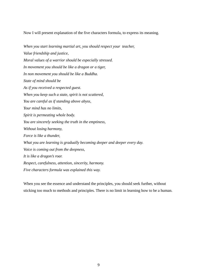Now I will present explanation of the five characters formula, to express its meaning.

*When you start learning martial art, you should respect your teacher,*

*Value friendship and justice,*

*Moral values of a warrior should be especially stressed.*

*In movement you should be like a dragon or a tiger,*

*In non movement you should be like a Buddha.*

*State of mind should be*

*As if you received a respected guest.*

*When you keep such a state, spirit is not scattered,*

*You are careful as if standing above abyss,*

*Your mind has no limits,*

*Spirit is permeating whole body.*

*You are sincerely seeking the truth in the emptiness,*

*Without losing harmony,*

*Force is like a thunder,*

*What you are learning is gradually becoming deeper and deeper every day.*

*Voice is coming out from the deepness,*

*It is like a dragon's roar.*

*Respect, carefulness, attention, sincerity, harmony.*

*Five characters formula was explained this way.*

When you see the essence and understand the principles, you should seek further, without sticking too much to methods and principles. There is no limit in learning how to be a human.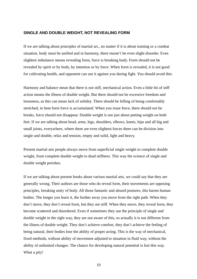#### **SINGLE AND DOUBLE WEIGHT, NOT REVEALING FORM**

If we are talking about principles of martial art., no matter if it is about training or a combat situation, body must be unified and in harmony, there mustn't be even slight disorder. Even slightest imbalance means revealing form, force is breaking body. Form should not be revealed by spirit or by body, by intention or by force. When form is revealed, it is not good for cultivating health, and opponent can use it against you during fight. You should avoid this.

Harmony and balance mean that there is not stiff, mechanical action. Even a little bit of stiff action means the illness of double weight. But there should not be excessive freedom and looseness, as this can mean lack of solidity. There should be felling of being comfortably stretched, in bent form force is accumulated. When you issue force, there should not be breaks, force should not disappear. Double weight is not just about putting weight on both feet. If we are talking about head, arms, legs, shoulders, elbows, knees, hips and all big and small joints, everywhere, where there are even slightest forces there can be division into single and double, relax and tension, empty and solid, light and heavy.

Present martial arts people always move from superficial single weight to complete double weight, from complete double weight to dead stiffness. This way the science of single and double weight perishes.

If we are talking about present books about various martial arts, we could say that they are generally wrong. Their authors are those who do reveal form, their movements are opposing principles, breaking unity of body. All those fantastic and absurd postures, this harms human bodies. The longer you learn it, the further away you move from the right path. When they don't move, they don't reveal form, but they are stiff. When they move, they reveal form, they become scattered and disordered. Even if sometimes they use the principle of single and double weight in the right way, they are not aware of this, so actually it is not different from the illness of double weight. They don't achieve comfort, they don't achieve the feeling of being natural, their bodies lose the ability of proper acting. This is the way of mechanical, fixed methods, without ability of movement adjusted to situation in fluid way, without the ability of unlimited changes. The chance for developing natural potential is lost this way. What a pity!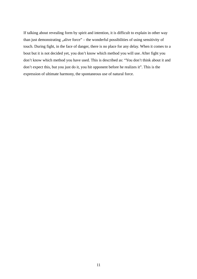If talking about revealing form by spirit and intention, it is difficult to explain in other way than just demonstrating  $\mu$ alive force" – the wonderful possibilities of using sensitivity of touch. During fight, in the face of danger, there is no place for any delay. When it comes to a bout but it is not decided yet, you don't know which method you will use. After fight you don't know which method you have used. This is described as: "You don't think about it and don't expect this, but you just do it, you hit opponent before he realizes it". This is the expression of ultimate harmony, the spontaneous use of natural force.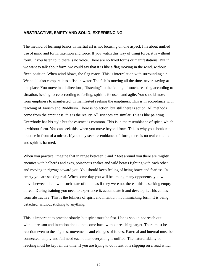#### **ABSTRACTIVE, EMPTY AND SOLID, EXPERIENCING**

The method of learning basics in martial art is not focusing on one aspect. It is about unified use of mind and form, intention and force. If you watch this way of using force, it is without form. If you listen to it, there is no voice. There are no fixed forms or manifestations. But if we want to talk about form, we could say that it is like a flag moving in the wind, without fixed position. When wind blows, the flag reacts. This is interrelation with surrounding air. We could also compare it to a fish in water. The fish is moving all the time, never staying at one place. You move in all directions, "listening" to the feeling of touch, reacting according to situation, issuing force according to feeling, spirit is focused and agile. You should move from emptiness to manifested, in manifested seeking the emptiness. This is in accordance with teaching of Taoism and Buddhism. There is no action, but still there is action. All methods come from the emptiness, this is the reality. All sciences are similar. This is like painting. Everybody has his style but the essence is common. This is in the resemblance of spirit, which is without form. You can seek this, when you move beyond form. This is why you shouldn't practice in front of a mirror. If you only seek resemblance of form, there is no real contents and spirit is harmed.

When you practice, imagine that in range between 3 and 7 feet around you there are mighty enemies with halberds and axes, poisonous snakes and wild beasts fighting with each other and moving in zigzags toward you. You should keep feeling of being brave and fearless. In empty you are seeking real. When some day you will be among many opponents, you will move between them with such state of mind, as if they were not there – this is seeking empty in real. During training you need to experience it, accumulate it and develop it. This comes from abstractive. This is the fullness of spirit and intention, not mimicking form. It is being detached, without sticking to anything.

This is important to practice slowly, but spirit must be fast. Hands should not reach out without reason and intention should not come back without reaching target. There must be reaction even to the slightest movements and changes of forces. External and internal must be connected, empty and full need each other, everything is unified. The natural ability of reacting must be kept all the time. If you are trying to do it fast, it is slipping on a road which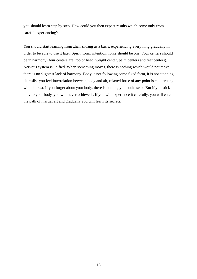you should learn step by step. How could you then expect results which come only from careful experiencing?

You should start learning from zhan zhuang as a basis, experiencing everything gradually in order to be able to use it later. Spirit, form, intention, force should be one. Four centers should be in harmony (four centers are: top of head, weight center, palm centers and feet centers). Nervous system is unified. When something moves, there is nothing which would not move, there is no slightest lack of harmony. Body is not following some fixed form, it is not stopping clumsily, you feel interrelation between body and air, relaxed force of any point is cooperating with the rest. If you forget about your body, there is nothing you could seek. But if you stick only to your body, you will never achieve it. If you will experience it carefully, you will enter the path of martial art and gradually you will learn its secrets.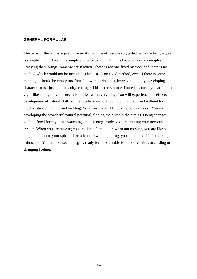#### **GENERAL FORMULAS**

The basis of this art. is engraving everything in heart. People suggested name dacheng – great accomplishment. This art is simple and easy to learn. But it is based on deep principles. Studying them brings immense satisfaction. There is not one fixed method, and there is no method which would not be included. The basis is no fixed method, even if there is some method, it should be empty too. You follow the principles, improving quality, developing character, trust, justice, humanity, courage. This is the science. Force is natural, you are full of vigor like a dragon, your breath is unified with everything. You will experience the effects – development of natural skill. Your attitude is without too much intimacy and without too much distance, humble and yielding. Your force is as if force of whole universe. You are developing the wonderful natural potential, finding the pivot in the circles. Doing changes without fixed form you are watching and listening inside, you are training your nervous system. When you are moving you are like a fierce tiger, when not moving, you are like a dragon in its den, your spirit is like a leopard walking in fog, your force is as if of attacking rhinoceros. You are focused and agile, ready for uncountable forms of reaction, according to changing feeling.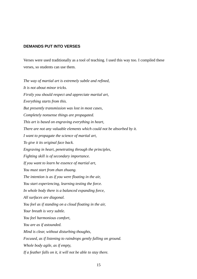#### **DEMANDS PUT INTO VERSES**

Verses were used traditionally as a tool of teaching. I used this way too. I compiled these verses, so students can use them.

*The way of martial art is extremely subtle and refined, It is not about minor tricks. Firstly you should respect and appreciate martial art, Everything starts from this. But presently transmission was lost in most cases, Completely nonsense things are propagated. This art is based on engraving everything in heart, There are not any valuable elements which could not be absorbed by it. I want to propagate the science of martial art, To give it its original face back. Engraving in heart, penetrating through the principles, Fighting skill is of secondary importance. If you want to learn he essence of martial art, You must start from zhan zhuang. The intention is as if you were floating in the air, You start experiencing, learning testing the force. In whole body there is a balanced expanding force, All surfaces are diagonal. You feel as if standing on a cloud floating in the air, Your breath is very subtle. You feel harmonious comfort, You are as if astounded. Mind is clear, without disturbing thoughts, Focused, as if listening to raindrops gently falling on ground. Whole body agile, as if empty, If a feather falls on it, it will not be able to stay there.*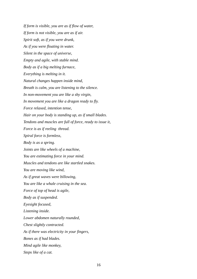*If form is visible, you are as if flow of water, If form is not visible, you are as if air. Spirit soft, as if you were drunk, As if you were floating in water. Silent in the space of universe, Empty and agile, with stable mind. Body as if a big melting furnace, Everything is melting in it. Natural changes happen inside mind, Breath is calm, you are listening to the silence. In non-movement you are like a shy virgin, In movement you are like a dragon ready to fly. Force relaxed, intention tense, Hair on your body is standing up, as if small blades. Tendons and muscles are full of force, ready to issue it, Force is as if reeling thread. Spiral force is formless, Body is as a spring. Joints are like wheels of a machine, You are estimating force in your mind. Muscles and tendons are like startled snakes. You are moving like wind, As if great waves were billowing, You are like a whale cruising in the sea. Force of top of head is agile, Body as if suspended. Eyesight focused, Listening inside. Lower abdomen naturally rounded, Chest slightly contracted. As if there was electricity in your fingers, Bones as if had blades. Mind agile like monkey, Steps like of a cat.*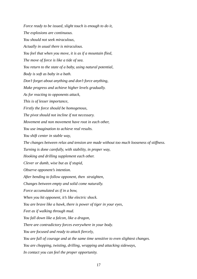*Force ready to be issued, slight touch is enough to do it, The explosions are continuous. You should not seek miraculous, Actually in usual there is miraculous. You feel that when you move, it is as if a mountain flied, The move of force is like a tide of sea. You return to the state of a baby, using natural potential, Body is soft as baby in a bath. Don't forget about anything and don't force anything, Make progress and achieve higher levels gradually. As for reacting to opponents attack, This is of lesser importance, Firstly the force should be homogenous, The pivot should not incline if not necessary. Movement and non movement have root in each other, You use imagination to achieve real results. You shift center in stable way, The changes between relax and tension are made without too much looseness of stiffness. Turning is done carefully, with stability, in proper way, Hooking and drilling supplement each other. Clever or dumb, wise but as if stupid, Observe opponent's intention. After bending to follow opponent, then straighten, Changes between empty and solid come naturally. Force accumulated as if in a bow, When you hit opponent, it's like electric shock. You are brave like a hawk, there is power of tiger in your eyes, Feet as if walking through mud. You fall down like a falcon, like a dragon, There are contradictory forces everywhere in your body. You are focused and ready to attack fiercely, You are full of courage and at the same time sensitive to even slightest changes. You are chopping, twisting, drilling, wrapping and attacking sideways, In contact you can feel the proper opportunity.*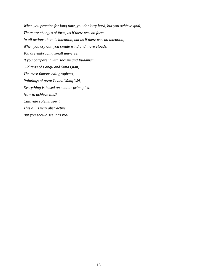*When you practice for long time, you don't try hard, but you achieve goal, There are changes of form, as if there was no form. In all actions there is intention, but as if there was no intention, When you cry out, you create wind and move clouds, You are embracing small universe. If you compare it with Taoism and Buddhism, Old texts of Bangu and Sima Qian, The most famous calligraphers, Paintings of great Li and Wang Wei, Everything is based on similar principles. How to achieve this? Cultivate solemn spirit. This all is very abstractive, But you should see it as real.*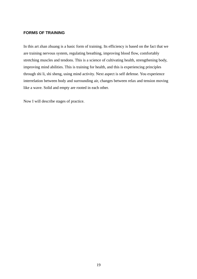#### **FORMS OF TRAINING**

In this art zhan zhuang is a basic form of training. Its efficiency is based on the fact that we are training nervous system, regulating breathing, improving blood flow, comfortably stretching muscles and tendons. This is a science of cultivating health, strengthening body, improving mind abilities. This is training for health, and this is experiencing principles through shi li, shi sheng, using mind activity. Next aspect is self defense. You experience interrelation between body and surrounding air, changes between relax and tension moving like a wave. Solid and empty are rooted in each other.

Now I will describe stages of practice.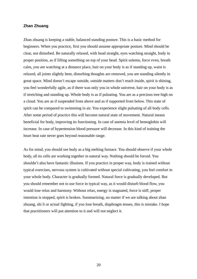#### **Zhan Zhuang**

Zhan zhuang is keeping a stable, balanced standing posture. This is a basic method for beginners. When you practice, first you should assume appropriate posture. Mind should be clear, not disturbed. Be naturally relaxed, with head straight, eyes watching straight, body in proper position, as if lifting something on top of your head. Spirit solemn, force even, breath calm, you are watching at a distance place, hair on your body is as if standing up, waist is relaxed, all joints slightly bent, disturbing thoughts are removed, you are standing silently in great space. Mind doesn't escape outside, outside matters don't reach inside, spirit is shining, you feel wonderfully agile, as if there was only you in whole universe, hair on your body is as if stretching and standing up. Whole body is as if pulsating. You are as a precious tree high on a cloud. You are as if suspended from above and as if supported from below. This state of spirit can be compared to swimming in air. You experience slight pulsating of all body cells. After some period of practice this will become natural state of movement. Natural means beneficial for body, improving its functioning. In case of anemia level of hemoglobin will increase. In case of hypertension blood pressure will decrease. In this kind of training the heart beat rate never goes beyond reasonable range.

As for mind, you should see body as a big melting furnace. You should observe if your whole body, all its cells are working together in natural way. Nothing should be forced. You shouldn't also have fantastic illusions. If you practice in proper way, body is trained without typical exercises, nervous system is cultivated without special cultivating, you feel comfort in your whole body. Character is gradually formed. Natural force is gradually developed. But you should remember not to use force in typical way, as it would disturb blood flow, you would lose relax and harmony. Without relax, energy is stagnated, force is stiff, proper intention is stopped, spirit is broken. Summarizing, no matter if we are talking about zhan zhuang, shi li or actual fighting, if you lose breath, diaphragm tenses, this is mistake. I hope that practitioners will put attention to it and will not neglect it.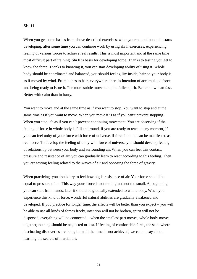#### **Shi Li**

When you get some basics from above described exercises, when your natural potential starts developing, after some time you can continue work by using shi li exercises, experiencing feeling of various forces to achieve real results. This is most important and at the same time most difficult part of training. Shi li is basis for developing force. Thanks to testing you get to know the force. Thanks to knowing it, you can start developing ability of using it. Whole body should be coordinated and balanced, you should feel agility inside, hair on your body is as if moved by wind. From bones to hair, everywhere there is intention of accumulated force and being ready to issue it. The more subtle movement, the fuller spirit. Better slow than fast. Better with calm than in hurry.

You want to move and at the same time as if you want to stop. You want to stop and at the same time as if you want to move. When you move it is as if you can't prevent stopping. When you stop it's as if you can't prevent continuing movement. You are observing if the feeling of force in whole body is full and round, if you are ready to react at any moment, if you can feel unity of your force with force of universe, if force in mind can be manifested as real force. To develop the feeling of unity with force of universe you should develop feeling of relationship between your body and surrounding air. When you can feel this contact, pressure and resistance of air, you can gradually learn to react according to this feeling. Then you are testing feeling related to the waves of air and opposing the force of gravity.

When practicing, you should try to feel how big is resistance of air. Your force should be equal to pressure of air. This way your force is not too big and not too small. At beginning you can start from hands, later it should be gradually extended to whole body. When you experience this kind of force, wonderful natural abilities are gradually awakened and developed. If you practice for longer time, the effects will be better than you expect – you will be able to use all kinds of forces freely, intention will not be broken, spirit will not be dispersed, everything will be connected – when the smallest part moves, whole body moves together, nothing should be neglected or lost. If feeling of comfortable force, the state where fascinating discoveries are being born all the time, is not achieved, we cannot say about learning the secrets of martial art.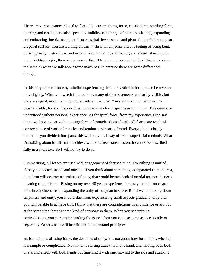There are various names related to force, like accumulating force, elastic force, startling force, opening and closing, and also speed and solidity, centering, softness and circling, expanding and embracing, inertia, triangle of forces, spiral, lever, wheel and pivot, force of a braking car, diagonal surface. You are learning all this in shi li. In all joints there is feeling of being bent, of being ready to straighten and expand. Accumulating and issuing are related, at each joint there is obtuse angle, there is no even surface. There are no constant angles. Those names are the same as when we talk about some machines. In practice there are some differences though.

In this art you learn force by mindful experiencing. If it is revealed in form, it can be revealed only slightly. When you watch from outside, many of the movements are hardly visible, but there are spiral, ever changing movements all the time. You should know that if form is clearly visible, force is dispersed, when there is no form, spirit is accumulated. This cannot be understood without personal experience. As for spiral force, from my experience I can say that it will not appear without using force of triangles (joints bent). All forces are result of connected use of work of muscles and tendons and work of mind. Everything is closely related. If you divide it into parts, this will be typical way of fixed, superficial methods. What I'm talking about is difficult to achieve without direct transmission. It cannot be described fully in a short text. So I will not try to do so.

Summarizing, all forces are used with engagement of focused mind. Everything is unified, closely connected, inside and outside. If you think about something as separated from the rest, then form will destroy natural use of body, that would be mechanical martial art, not the deep meaning of martial art. Basing on my over 40 years experience I can say that all forces are born in emptiness, from expanding the unity of hunyuan in space. But if we are talking about emptiness and unity, you should start from experiencing small aspects gradually, only then you will be able to achieve this. I think that there are contradictions in any science or art, but at the same time there is some kind of harmony in them. When you see unity in contradictions, you start understanding the issue. Then you can use some aspects jointly or separately. Otherwise it will be difficult to understand principles.

As for methods of using force, the demands of unity, it is not about how form looks, whether it is simple or complicated. No matter if starting attack with one hand, and moving back both or starting attack with both hands but finishing it with one, moving to the side and attacking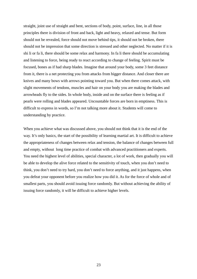straight, joint use of straight and bent, sections of body, point, surface, line, in all those principles there is division of front and back, light and heavy, relaxed and tense. But form should not be revealed, force should not move behind tips, it should not be broken, there should not be impression that some direction is stressed and other neglected. No matter if it is shi li or fa li, there should be some relax and harmony. In fa li there should be accumulating and listening to force, being ready to react according to change of feeling. Spirit must be focused, bones as if had sharp blades. Imagine that around your body, some 3 feet distance from it, there is a net protecting you from attacks from bigger distance. And closer there are knives and many bows with arrows pointing toward you. But when there comes attack, with slight movements of tendons, muscles and hair on your body you are making the blades and arrowheads fly to the sides. In whole body, inside and on the surface there is feeling as if pearls were rolling and blades appeared. Uncountable forces are born in emptiness. This is difficult to express in words, so I'm not talking more about it. Students will come to understanding by practice.

When you achieve what was discussed above, you should not think that it is the end of the way. It's only basics, the start of the possibility of learning martial art. It is difficult to achieve the appropriateness of changes between relax and tension, the balance of changes between full and empty, without long time practice of combat with advanced practitioners and experts. You need the highest level of abilities, special character, a lot of work, then gradually you will be able to develop the alive force related to the sensitivity of touch, when you don't need to think, you don't need to try hard, you don't need to force anything, and it just happens, when you defeat your opponent before you realize how you did it. As for the force of whole and of smallest parts, you should avoid issuing force randomly. But without achieving the ability of issuing force randomly, it will be difficult to achieve higher levels.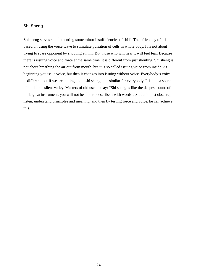#### **Shi Sheng**

Shi sheng serves supplementing some minor insufficiencies of shi li. The efficiency of it is based on using the voice wave to stimulate pulsation of cells in whole body. It is not about trying to scare opponent by shouting at him. But those who will hear it will feel fear. Because there is issuing voice and force at the same time, it is different from just shouting. Shi sheng is not about breathing the air out from mouth, but it is so called issuing voice from inside. At beginning you issue voice, but then it changes into issuing without voice. Everybody's voice is different, but if we are talking about shi sheng, it is similar for everybody. It is like a sound of a bell in a silent valley. Masters of old used to say: "Shi sheng is like the deepest sound of the big Lu instrument, you will not be able to describe it with words". Student must observe, listen, understand principles and meaning, and then by testing force and voice, he can achieve this.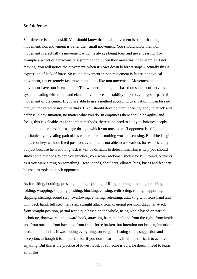#### **Self defense**

Self defense is combat skill. You should know that small movement is better than big movement, non movement is better then small movement. You should know than non movement is a actually a movement which is always being born and never ceasing. For example a wheel of a machine or a spinning top, when they move fast, they seem as if not moving. You will notice the movement, when it slows down before it stops – actually this is expression of lack of force. So called movement in non movement is faster than typical movement, the extremely fast movement looks like non movement. Movement and non movement have root in each other. The wonder of using it is based on support of nervous system, leading with mind, and elastic force of breath, stability of pivot, changes of path of movement of the center. If you are able to use a method according to situation, it can be said that you mastered basics of martial art. You should develop habit of being ready to attack and defense in any situation, no matter what you do. In emptiness there should be agility and focus, this is valuable. As for combat methods, there is no need to study techniques deeply, but on the other hand it is a stage through which you must pass. If opponent is stiff, acting mechanically, revealing path of his center, there is nothing worth discussing. But if he is agile like a monkey, without fixed position, even if he is not able to use various forces efficiently, but just because he is moving fast, it will be difficult to defeat him. This is why you should study some methods. When you practice, your lower abdomen should be full, round, buttocks as if you were sitting on something. Head, hands, shoulders, elbows, hips, knees and feet can be used as tools to attack opponent.

As for lifting, hooking, pressing, pulling, splitting, drilling, rubbing, crushing, brushing, folding, wrapping, stepping, pushing, blocking, chasing, redirecting, rolling, supporting, slipping, sticking, round step, swallowing, entering, retreating, attacking with front hand and with back hand, full step, half step, straight attack from diagonal position, diagonal attack from straight position, partial technique based on the whole, using whole based on partial technique, downward and upward hook, attacking from the left and from the right, from inside and from outside, from back and from front, force broken, but intention not broken, intention broken, but mind as if was linking everything, on verge of issuing force, suggestion and deception, although it is all partial, but if you don't learn this, it will be difficult to achieve anything. But this is the practice of lowest level. If someone is able, he doesn't need to learn all of this.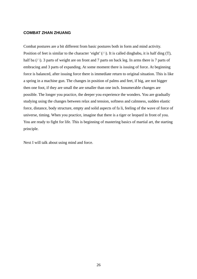#### **COMBAT ZHAN ZHUANG**

Combat postures are a bit different from basic postures both in form and mind activity. Position of feet is similar to the character 'eight'  $($   $\rangle$ ). It is called dingbabu, it is half ding (T), half ba  $($ / $\rangle$ ). 3 parts of weight are on front and 7 parts on back leg. In arms there is 7 parts of embracing and 3 parts of expanding. At some moment there is issuing of force. At beginning force is balanced, after issuing force there is immediate return to original situation. This is like a spring in a machine gun. The changes in position of palms and feet, if big, are not bigger then one foot, if they are small the are smaller than one inch. Innumerable changes are possible. The longer you practice, the deeper you experience the wonders. You are gradually studying using the changes between relax and tension, softness and calmness, sudden elastic force, distance, body structure, empty and solid aspects of fa li, feeling of the wave of force of universe, timing. When you practice, imagine that there is a tiger or leopard in front of you. You are ready to fight for life. This is beginning of mastering basics of martial art, the starting principle.

Next I will talk about using mind and force.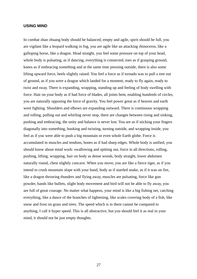#### **USING MIND**

In combat zhan zhuang body should be balanced, empty and agile, spirit should be full, you are vigilant like a leopard walking in fog, you are agile like an attacking rhinoceros, like a galloping horse, like a dragon. Head straight, you feel some pressure on top of your head, whole body is pulsating, as if dancing, everything is connected, toes as if grasping ground, knees as if embracing something and at the same time pressing outside, there is also some lifting upward force, heels slightly raised. You feel a force as if tornado was to pull a tree out of ground, as if you were a dragon which landed for a moment, ready to fly again, ready to twist and sway. There is expanding, wrapping, standing up and feeling of body swelling with force. Hair on your body as if had force of blades, all joints bent, enabling hundreds of circles, you are naturally opposing the force of gravity. You feel power great as if heaven and earth were fighting. Shoulders and elbows are expanding outward. There is continuous wrapping and rolling, pulling out and whirling never stop, there are changes between rising and sinking, pushing and embracing, the unity and balance is never lost. You are as if sticking your fingers diagonally into something, hooking and twisting, turning outside, and wrapping inside, you feel as if you were able to push a big mountain or even whole Earth globe. Force is accumulated in muscles and tendons, bones as if had sharp edges. Whole body is unified, you should know about mind work: swallowing and spitting out, force in all directions, rolling, pushing, lifting, wrapping, hair on body as dense woods, body straight, lower abdomen naturally round, chest slightly concave. When you move, you are like a fierce tiger, as if you intend to crush mountain slope with your hand, body as if startled snake, as if it was on fire, like a dragon throwing thunders and flying away, muscles are pulsating, force like gun powder, hands like bullets, slight body movement and bird will not be able to fly away, you are full of great courage. No matter what happens, your mind is like a big fishing net, catching everything, like a dance of the branches of lightening, like scales covering body of a fish, like snow and frost on grass and trees. The speed which is in there cannot be compared to anything, I call it hyper speed. This is all abstractive, but you should feel it as real in your mind, it should not be just empty thoughts.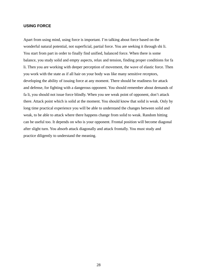#### **USING FORCE**

Apart from using mind, using force is important. I'm talking about force based on the wonderful natural potential, not superficial, partial force. You are seeking it through shi li. You start from part in order to finally find unified, balanced force. When there is some balance, you study solid and empty aspects, relax and tension, finding proper conditions for fa li. Then you are working with deeper perception of movement, the wave of elastic force. Then you work with the state as if all hair on your body was like many sensitive receptors, developing the ability of issuing force at any moment. There should be readiness for attack and defense, for fighting with a dangerous opponent. You should remember about demands of fa li, you should not issue force blindly. When you see weak point of opponent, don't attack there. Attack point which is solid at the moment. You should know that solid is weak. Only by long time practical experience you will be able to understand the changes between solid and weak, to be able to attack where there happens change from solid to weak. Random hitting can be useful too. It depends on who is your opponent. Frontal position will become diagonal after slight turn. You absorb attack diagonally and attack frontally. You must study and practice diligently to understand the meaning.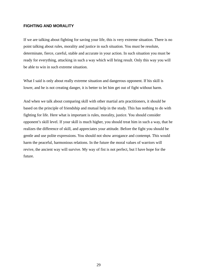#### **FIGHTING AND MORALITY**

If we are talking about fighting for saving your life, this is very extreme situation. There is no point talking about rules, morality and justice in such situation. You must be resolute, determinate, fierce, careful, stable and accurate in your action. In such situation you must be ready for everything, attacking in such a way which will bring result. Only this way you will be able to win in such extreme situation.

What I said is only about really extreme situation and dangerous opponent. If his skill is lower, and he is not creating danger, it is better to let him get out of fight without harm.

And when we talk about comparing skill with other martial arts practitioners, it should be based on the principle of friendship and mutual help in the study. This has nothing to do with fighting for life. Here what is important is rules, morality, justice. You should consider opponent's skill level. If your skill is much higher, you should treat him in such a way, that he realizes the difference of skill, and appreciates your attitude. Before the fight you should be gentle and use polite expressions. You should not show arrogance and contempt. This would harm the peaceful, harmonious relations. In the future the moral values of warriors will revive, the ancient way will survive. My way of fist is not perfect, but I have hope for the future.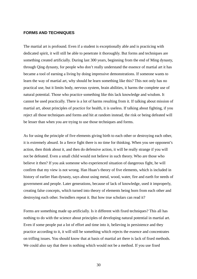#### **FORMS AND TECHNIQUES**

The martial art is profound. Even if a student is exceptionally able and is practicing with dedicated spirit, it will still be able to penetrate it thoroughly. But forms and techniques are something created artificially. During last 300 years, beginning from the end of Ming dynasty, through Qing dynasty, for people who don't really understand the essence of martial art it has became a tool of earning a living by doing impressive demonstrations. If someone wants to learn the way of martial art, why should he learn something like this? This not only has no practical use, but it limits body, nervous system, brain abilities, it harms the complete use of natural potential. Those who practice something like this lack knowledge and wisdom. It cannot be used practically. There is a lot of harms resulting from it. If talking about mission of martial art, about principles of practice for health, it is useless. If talking about fighting, if you reject all those techniques and forms and hit at random instead, the risk or being defeated will be lesser than when you are trying to use those techniques and forms.

As for using the principle of five elements giving birth to each other or destroying each other, it is extremely absurd. In a fierce fight there is no time for thinking. When you see opponent's action, then think about it, and then do defensive action, it will be really strange if you will not be defeated. Even a small child would not believe in such theory. Who are those who believe it then? If you ask someone who experienced situation of dangerous fight, he will confirm that my view is not wrong. Han Huan's theory of five elements, which is included in history of earlier Han dynasty, says about using metal, wood, water, fire and earth for needs of government and people. Later generations, because of lack of knowledge, used it improperly, creating false concepts, which turned into theory of elements being born from each other and destroying each other. Swindlers repeat it. But how true scholars can read it?

Forms are something made up artificially. Is it different with fixed techniques? This all has nothing to do with the science about principles of developing natural potential in martial art. Even if some people put a lot of effort and time into it, believing in persistence and they practice according to it, it will still be something which rejects the essence and concentrates on trifling issues. You should know that at basis of martial art there is lack of fixed methods. We could also say that there is nothing which would not be a method. If you use fixed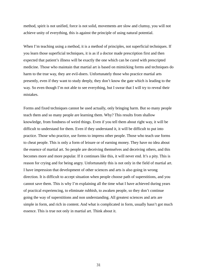method, spirit is not unified, force is not solid, movements are slow and clumsy, you will not achieve unity of everything, this is against the principle of using natural potential.

When I'm teaching using a method, it is a method of principles, not superficial techniques. If you learn those superficial techniques, it is as if a doctor made prescription first and then expected that patient's illness will be exactly the one which can be cured with prescripted medicine. Those who maintain that martial art is based on mimicking forms and techniques do harm to the true way, they are evil-doers. Unfortunately those who practice martial arts presently, even if they want to study deeply, they don't know the gate which is leading to the way. So even though I'm not able to see everything, but I swear that I will try to reveal their mistakes.

Forms and fixed techniques cannot be used actually, only bringing harm. But so many people teach them and so many people are learning them. Why? This results from shallow knowledge, from fondness of weird things. Even if you tell them about right way, it will be difficult to understand for them. Even if they understand it, it will be difficult to put into practice. Those who practice, use forms to impress other people. Those who teach use forms to cheat people. This is only a form of leisure or of earning money. They have no idea about the essence of martial art. So people are deceiving themselves and deceiving others, and this becomes more and more popular. If it continues like this, it will never end. It's a pity. This is reason for crying and for being angry. Unfortunately this is not only in the field of martial art. I have impression that development of other sciences and arts is also going in wrong direction. It is difficult to accept situation when people choose path of superstitions, and you cannot save them. This is why I'm explaining all the time what I have achieved during years of practical experiencing, to eliminate rubbish, to awaken people, so they don't continue going the way of superstitions and non understanding. All greatest sciences and arts are simple in form, and rich in content. And what is complicated in form, usually hasn't got much essence. This is true not only in martial art. Think about it.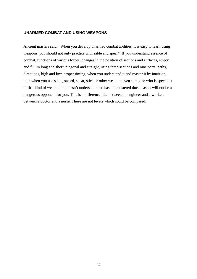#### **UNARMED COMBAT AND USING WEAPONS**

Ancient masters said: "When you develop unarmed combat abilities, it is easy to learn using weapons, you should not only practice with sable and spear". If you understand essence of combat, functions of various forces, changes in the position of sections and surfaces, empty and full in long and short, diagonal and straight, using three sections and nine parts, paths, directions, high and low, proper timing, when you understand it and master it by intuition, then when you use sable, sword, spear, stick or other weapon, even someone who is specialist of that kind of weapon but doesn't understand and has not mastered those basics will not be a dangerous opponent for you. This is a difference like between an engineer and a worker, between a doctor and a nurse. These are not levels which could be compared.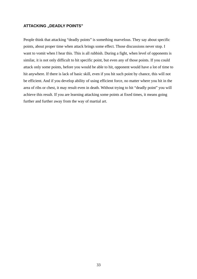#### **ATTACKING "DEADLY POINTS"**

People think that attacking "deadly points" is something marvelous. They say about specific points, about proper time when attack brings some effect. Those discussions never stop. I want to vomit when I hear this. This is all rubbish. During a fight, when level of opponents is similar, it is not only difficult to hit specific point, but even any of those points. If you could attack only some points, before you would be able to hit, opponent would have a lot of time to hit anywhere. If there is lack of basic skill, even if you hit such point by chance, this will not be efficient. And if you develop ability of using efficient force, no matter where you hit in the area of ribs or chest, it may result even in death. Without trying to hit "deadly point" you will achieve this result. If you are learning attacking some points at fixed times, it means going further and further away from the way of martial art.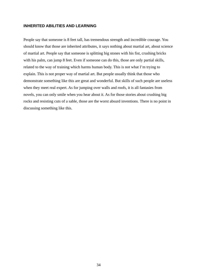#### **INHERITED ABILITIES AND LEARNING**

People say that someone is 8 feet tall, has tremendous strength and incredible courage. You should know that those are inherited attributes, it says nothing about martial art, about science of martial art. People say that someone is splitting big stones with his fist, crushing bricks with his palm, can jump 8 feet. Even if someone can do this, those are only partial skills, related to the way of training which harms human body. This is not what I'm trying to explain. This is not proper way of martial art. But people usually think that those who demonstrate something like this are great and wonderful. But skills of such people are useless when they meet real expert. As for jumping over walls and roofs, it is all fantasies from novels, you can only smile when you hear about it. As for those stories about crushing big rocks and resisting cuts of a sable, those are the worst absurd inventions. There is no point in discussing something like this.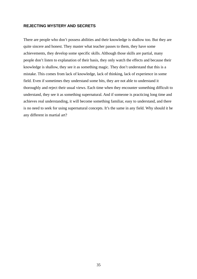#### **REJECTING MYSTERY AND SECRETS**

There are people who don't possess abilities and their knowledge is shallow too. But they are quite sincere and honest. They master what teacher passes to them, they have some achievements, they develop some specific skills. Although those skills are partial, many people don't listen to explanation of their basis, they only watch the effects and because their knowledge is shallow, they see it as something magic. They don't understand that this is a mistake. This comes from lack of knowledge, lack of thinking, lack of experience in some field. Even if sometimes they understand some bits, they are not able to understand it thoroughly and reject their usual views. Each time when they encounter something difficult to understand, they see it as something supernatural. And if someone is practicing long time and achieves real understanding, it will become something familiar, easy to understand, and there is no need to seek for using supernatural concepts. It's the same in any field. Why should it be any different in martial art?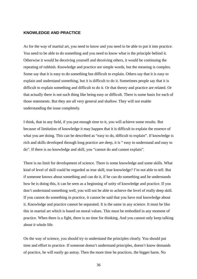#### **KNOWLEDGE AND PRACTICE**

As for the way of martial art, you need to know and you need to be able to put it into practice. You need to be able to do something and you need to know what is the principle behind it. Otherwise it would be deceiving yourself and deceiving others, it would be continuing the repeating of rubbish. Knowledge and practice are simple words, but the meaning is complex. Some say that it is easy to do something but difficult to explain. Others say that it is easy to explain and understand something, but it is difficult to do it. Sometimes people say that it is difficult to explain something and difficult to do it. Or that theory and practice are related. Or that actually there is not such thing like being easy or difficult. There is some basis for each of those statements. But they are all very general and shallow. They will not enable understanding the issue completely.

I think, that in any field, if you put enough time to it, you will achieve some results. But because of limitation of knowledge it may happen that it is difficult to explain the essence of what you are doing. This can be described as "easy to do, difficult to explain". If knowledge is rich and skills developed through long practice are deep, it is " easy to understand and easy to do". If there is no knowledge and skill, you "cannot do and cannot explain".

There is no limit for development of science. There is some knowledge and some skills. What kind of level of skill could be regarded as true skill, true knowledge? I'm not able to tell. But if someone knows about something and can do it, if he can do something and he understands how he is doing this, it can be seen as a beginning of unity of knowledge and practice. If you don't understand something well, you will not be able to achieve the level of really deep skill. If you cannot do something in practice, it cannot be said that you have real knowledge about it. Knowledge and practice cannot be separated. It is the same in any science. It must be like this in martial art which is based on moral values. This must be embodied in any moment of practice. When there is a fight, there is no time for thinking. And you cannot only keep talking about it whole life.

On the way of science, you should try to understand the principles clearly. You should put time and effort to practice. If someone doesn't understand principles, doesn't know demands of practice, he will easily go astray. Then the more time he practices, the bigger harm. No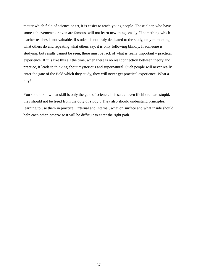matter which field of science or art, it is easier to teach young people. Those elder, who have some achievements or even are famous, will not learn new things easily. If something which teacher teaches is not valuable, if student is not truly dedicated to the study, only mimicking what others do and repeating what others say, it is only following blindly. If someone is studying, but results cannot be seen, there must be lack of what is really important – practical experience. If it is like this all the time, when there is no real connection between theory and practice, it leads to thinking about mysterious and supernatural. Such people will never really enter the gate of the field which they study, they will never get practical experience. What a pity!

You should know that skill is only the gate of science. It is said: "even if children are stupid, they should not be freed from the duty of study". They also should understand principles, learning to use them in practice. External and internal, what on surface and what inside should help each other, otherwise it will be difficult to enter the right path.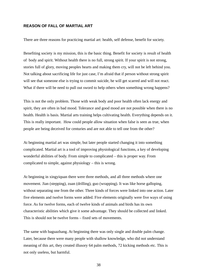#### **REASON OF FALL OF MARTIAL ART**

There are three reasons for practicing martial art: health, self defense, benefit for society.

Benefiting society is my mission, this is the basic thing. Benefit for society is result of health of body and spirit. Without health there is no full, strong spirit. If your spirit is not strong, stories full of glory, moving peoples hearts and making them cry, will not be left behind you. Not talking about sacrificing life for just case, I'm afraid that if person without strong spirit will see that someone else is trying to commit suicide, he will get scarred and will not react. What if there will be need to pull out sword to help others when something wrong happens?

This is not the only problem. Those with weak body and poor health often lack energy and spirit, they are often in bad mood. Tolerance and good mood are not possible when there is no health. Health is basis. Martial arts training helps cultivating health. Everything depends on it. This is really important. How could people allow situation when false is seen as true, when people are being deceived for centuries and are not able to tell one from the other?

At beginning martial art was simple, but later people started changing it into something complicated. Martial art is a tool of improving physiological functions, a key of developing wonderful abilities of body. From simple to complicated – this is proper way. From complicated to simple, against physiology – this is wrong.

At beginning in xingyiquan there were three methods, and all three methods where one movement. Jian (stepping), zuan (drilling), guo (wrapping). It was like horse galloping, without separating one from the other. Three kinds of forces were linked into one action. Later five elements and twelve forms were added. Five elements originally were five ways of using force. As for twelve forms, each of twelve kinds of animals and birds has its own characteristic abilities which give it some advantage. They should be collected and linked. This is should not be twelve forms – fixed sets of movements.

The same with baguazhang. At beginning there was only single and double palm change. Later, because there were many people with shallow knowledge, who did not understand meaning of this art, they created illusory 64 palm methods, 72 kicking methods etc. This is not only useless, but harmful.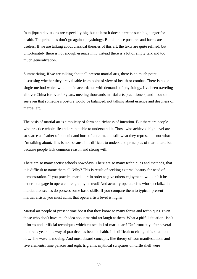In taijiquan deviations are especially big, but at least it doesn't create such big danger for health. The principles don't go against physiology. But all those postures and forms are useless. If we are talking about classical theories of this art, the texts are quite refined, but unfortunately there is not enough essence in it, instead there is a lot of empty talk and too much generalization.

Summarizing, if we are talking about all present martial arts, there is no much point discussing whether they are valuable from point of view of health or combat. There is no one single method which would be in accordance with demands of physiology. I've been traveling all over China for over 40 years, meeting thousands martial arts practitioners, and I couldn't see even that someone's posture would be balanced, not talking about essence and deepness of martial art.

The basis of martial art is simplicity of form and richness of intention. But there are people who practice whole life and are not able to understand it. Those who achieved high level are so scarce as feather of phoenix and horn of unicorn, and still what they represent is not what I'm talking about. This is not because it is difficult to understand principles of martial art, but because people lack common reason and strong will.

There are so many sectist schools nowadays. There are so many techniques and methods, that it is difficult to name them all. Why? This is result of seeking external beauty for need of demonstration. If you practice martial art in order to give others enjoyment, wouldn't it be better to engage in opera choreography instead? And actually opera artists who specialize in martial arts scenes do possess some basic skills. If you compare them to typical present martial artists, you must admit that opera artists level is higher.

Martial art people of present time boast that they know so many forms and techniques. Even those who don't have much idea about martial art laugh at them. What a pitiful situation! Isn't it forms and artificial techniques which caused fall of martial art? Unfortunately after several hundreds years this way of practice has become habit. It is difficult to change this situation now. The wave is moving. And most absurd concepts, like theory of four manifestations and five elements, nine palaces and eight trigrams, mythical scriptures on turtle shell were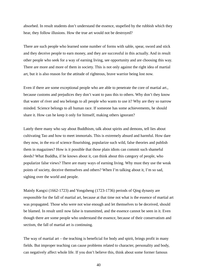absorbed. In result students don't understand the essence, stupefied by the rubbish which they hear, they follow illusions. How the true art would not be destroyed?

There are such people who learned some number of forms with sable, spear, sword and stick and they deceive people to earn money, and they are successful in this actually. And in result other people who seek for a way of earning living, see opportunity and are choosing this way. There are more and more of them in society. This is not only against the right idea of martial art, but it is also reason for the attitude of righteous, brave warrior being lost now.

Even if there are some exceptional people who are able to penetrate the core of martial art., because customs and prejudices they don't want to pass this to others. Why don't they know that water of river and sea belongs to all people who wants to use it? Why are they so narrow minded. Science belongs to all human race. If someone has some achievements, he should share it. How can he keep it only for himself, making others ignorant?

Lately there many who say about Buddhism, talk about spirits and demons, tell lies about cultivating Tao and how to meet immortals. This is extremely absurd and harmful. How dare they now, in the era of science flourishing, popularize such wild, false theories and publish them in magazines? How is it possible that those plain idiots can commit such shameful deeds? What Buddha, if he knows about it, can think about this category of people, who popularize false views? There are many ways of earning living. Why must they use the weak points of society, deceive themselves and others? When I'm talking about it, I'm so sad, sighing over the world and people.

Mainly Kangxi (1662-1723) and Yongzheng (1723-1736) periods of Qing dynasty are responsible for the fall of martial art, because at that time not what is the essence of martial art was propagated. Those who were not wise enough and let themselves to be deceived, should be blamed. In result until now false is transmitted, and the essence cannot be seen in it. Even though there are some people who understand the essence, because of their conservatism and sectism, the fall of martial art is continuing.

The way of martial art  $-$  the teaching is beneficial for body and spirit, brings profit in many fields. But improper teaching can cause problems related to character, personality and body, can negatively affect whole life. If you don't believe this, think about some former famous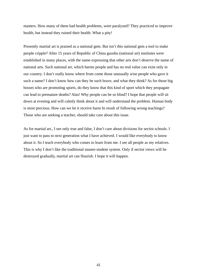masters. How many of them had health problems, were paralyzed? They practiced to improve health, but instead they ruined their health. What a pity!

Presently martial art is praised as a national gem. But isn't this national gem a tool to make people cripple? After 15 years of Republic of China guoshu (national art) institutes were established in many places, with the name expressing that other arts don't deserve the name of national arts. Such national art, which harms people and has no real value can exist only in our country. I don't really know where from come those unusually wise people who gave it such a name? I don't know how can they be such brave, and what they think? As for those big bosses who are promoting sports, do they know that this kind of sport which they propagate can lead to premature deaths? Alas! Why people can be so blind? I hope that people will sit down at evening and will calmly think about it and will understand the problem. Human body is most precious. How can we let it receive harm In result of following wrong teachings? Those who are seeking a teacher, should take care about this issue.

As for martial art., I see only true and false, I don't care about divisions for sectist schools. I just want to pass to next generation what I have achieved. I would like everybody to know about it. So I teach everybody who comes to learn from me. I see all people as my relatives. This is why I don't like the traditional master-student system. Only if sectist views will be destroyed gradually, martial art can flourish. I hope it will happen.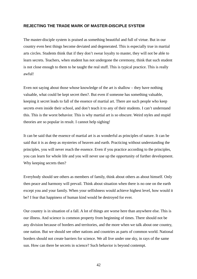#### **REJECTING THE TRADE MARK OF MASTER-DISCIPLE SYSTEM**

The master-disciple system is praised as something beautiful and full of virtue. But in our country even best things become deviated and degenerated. This is especially true in martial arts circles. Students think that if they don't swear loyalty to master, they will not be able to learn secrets. Teachers, when student has not undergone the ceremony, think that such student is not close enough to them to be taught the real stuff. This is typical practice. This is really awful!

Even not saying about those whose knowledge of the art is shallow – they have nothing valuable, what could be kept secret then?. But even if someone has something valuable, keeping it secret leads to fall of the essence of martial art. There are such people who keep secrets even inside their school, and don't teach it to any of their students. I can't understand this. This is the worst behavior. This is why martial art is so obscure. Weird styles and stupid theories are so popular in result. I cannot help sighing!

It can be said that the essence of martial art is as wonderful as principles of nature. It can be said that it is as deep as mysteries of heaven and earth. Practicing without understanding the principles, you will never reach the essence. Even if you practice according to the principles, you can learn for whole life and you will never use up the opportunity of further development. Why keeping secrets then?

Everybody should see others as members of family, think about others as about himself. Only then peace and harmony will prevail. Think about situation when there is no one on the earth except you and your family. When your selfishness would achieve highest level, how would it be? I fear that happiness of human kind would be destroyed for ever.

Our country is in situation of a fall. A lot of things are worse here than anywhere else. This is our illness. And science is common property from beginning of times. There should not be any division because of borders and territories, and the more when we talk about one country, one nation. But we should see other nations and countries as parts of common world. National borders should not create barriers for science. We all live under one sky, in rays of the same sun. How can there be secrets in science? Such behavior is beyond contempt.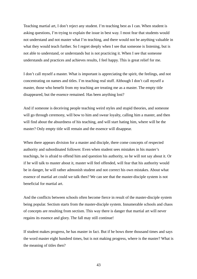Teaching martial art, I don't reject any student. I'm teaching best as I can. When student is asking questions, I'm trying to explain the issue in best way. I most fear that students would not understand and not master what I'm teaching, and there would not be anything valuable in what they would teach further. So I regret deeply when I see that someone is listening, but is not able to understand, or understands but is not practicing it. When I see that someone understands and practices and achieves results, I feel happy. This is great relief for me.

I don't call myself a master. What is important is appreciating the spirit, the feelings, and not concentrating on names and titles. I'm teaching real stuff. Although I don't call myself a master, those who benefit from my teaching are treating me as a master. The empty title disappeared, but the essence remained. Has been anything lost?

And if someone is deceiving people teaching weird styles and stupid theories, and someone will go through ceremony, will bow to him and swear loyalty, calling him a master, and then will find about the absurdness of his teaching, and will start hating him, where will be the master? Only empty title will remain and the essence will disappear.

When there appears division for a master and disciple, there come concepts of respected authority and subordinated follower. Even when student sees mistakes in his master's teachings, he is afraid to offend him and question his authority, so he will not say about it. Or if he will talk to master about it, master will feel offended, will fear that his authority would be in danger, he will rather admonish student and not correct his own mistakes. About what essence of martial art could we talk then? We can see that the master-disciple system is not beneficial for martial art.

And the conflicts between schools often become fierce in result of the master-disciple system being popular. Sectism starts from the master-disciple system. Innumerable schools and chaos of concepts are resulting from sectism. This way there is danger that martial art will never regains its essence and glory. The fall may still continue!

If student makes progress, he has master in fact. But if he bows three thousand times and says the word master eight hundred times, but is not making progress, where is the master? What is the meaning of titles then?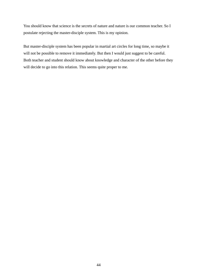You should know that science is the secrets of nature and nature is our common teacher. So I postulate rejecting the master-disciple system. This is my opinion.

But master-disciple system has been popular in martial art circles for long time, so maybe it will not be possible to remove it immediately. But then I would just suggest to be careful. Both teacher and student should know about knowledge and character of the other before they will decide to go into this relation. This seems quite proper to me.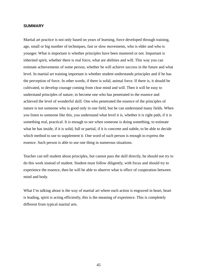#### **SUMMARY**

Martial art practice is not only based on years of learning, force developed through training, age, small or big number of techniques, fast or slow movements, who is elder and who is younger. What is important is whether principles have been mastered or not. Important is inherited spirit, whether there is real force, what are abilities and will. This way you can estimate achievements of some person, whether he will achieve success in the future and what level. In martial art training important is whether student understands principles and if he has the perception of force. In other words, if there is solid, animal force. If there is, it should be cultivated, to develop courage coming from clear mind and will. Then it will be easy to understand principles of nature, to become one who has penetrated to the essence and achieved the level of wonderful skill. One who penetrated the essence of the principles of nature is not someone who is good only in one field, but he can understand many fields. When you listen to someone like this, you understand what level it is, whether it is right path, if it is something real, practical. It is enough to see when someone is doing something, to estimate what he has inside, if it is solid, full or partial, if it is concrete and subtle, to be able to decide which method to use to supplement it. One word of such person is enough to express the essence. Such person is able to use one thing in numerous situations.

Teacher can tell student about principles, but cannot pass the skill directly, he should not try to do this work instead of student. Student must follow diligently, with focus and should try to experience the essence, then he will be able to observe what is effect of cooperation between mind and body.

What I'm talking about is the way of martial art where each action is engraved in heart, heart is leading, spirit is acting efficiently, this is the meaning of experience. This is completely different from typical martial arts.